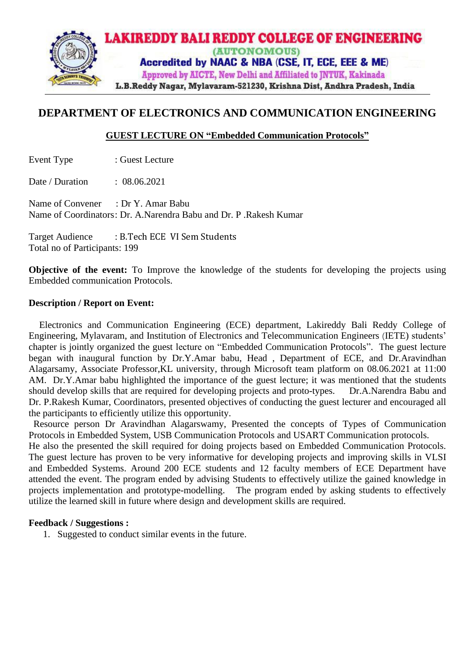

## **DEPARTMENT OF ELECTRONICS AND COMMUNICATION ENGINEERING**

## **GUEST LECTURE ON "Embedded Communication Protocols"**

Event Type : Guest Lecture

Date / Duration : 08.06.2021

Name of Convener : Dr Y. Amar Babu Name of Coordinators: Dr. A.Narendra Babu and Dr. P .Rakesh Kumar

Target Audience : B.Tech ECE VI Sem Students Total no of Participants: 199

**Objective of the event:** To Improve the knowledge of the students for developing the projects using Embedded communication Protocols.

## **Description / Report on Event:**

 Electronics and Communication Engineering (ECE) department, Lakireddy Bali Reddy College of Engineering, Mylavaram, and Institution of Electronics and Telecommunication Engineers (IETE) students' chapter is jointly organized the guest lecture on "Embedded Communication Protocols". The guest lecture began with inaugural function by Dr.Y.Amar babu, Head , Department of ECE, and Dr.Aravindhan Alagarsamy, Associate Professor,KL university, through Microsoft team platform on 08.06.2021 at 11:00 AM. Dr.Y.Amar babu highlighted the importance of the guest lecture; it was mentioned that the students should develop skills that are required for developing projects and proto-types. Dr.A.Narendra Babu and Dr. P.Rakesh Kumar, Coordinators, presented objectives of conducting the guest lecturer and encouraged all the participants to efficiently utilize this opportunity.

 Resource person Dr Aravindhan Alagarswamy, Presented the concepts of Types of Communication Protocols in Embedded System, USB Communication Protocols and USART Communication protocols.

He also the presented the skill required for doing projects based on Embedded Communication Protocols. The guest lecture has proven to be very informative for developing projects and improving skills in VLSI and Embedded Systems. Around 200 ECE students and 12 faculty members of ECE Department have attended the event. The program ended by advising Students to effectively utilize the gained knowledge in projects implementation and prototype-modelling. The program ended by asking students to effectively utilize the learned skill in future where design and development skills are required.

## **Feedback / Suggestions :**

1. Suggested to conduct similar events in the future.